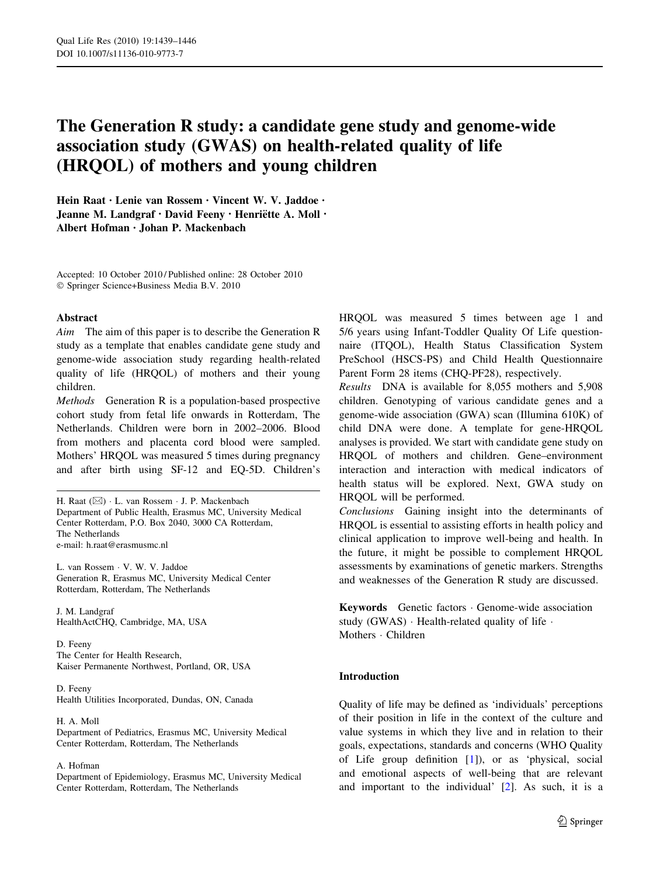# The Generation R study: a candidate gene study and genome-wide association study (GWAS) on health-related quality of life (HRQOL) of mothers and young children

Hein Raat • Lenie van Rossem • Vincent W. V. Jaddoe • Jeanne M. Landgraf · David Feeny · Henriëtte A. Moll · Albert Hofman • Johan P. Mackenbach

Accepted: 10 October 2010 / Published online: 28 October 2010 - Springer Science+Business Media B.V. 2010

# Abstract

Aim The aim of this paper is to describe the Generation R study as a template that enables candidate gene study and genome-wide association study regarding health-related quality of life (HRQOL) of mothers and their young children.

Methods Generation R is a population-based prospective cohort study from fetal life onwards in Rotterdam, The Netherlands. Children were born in 2002–2006. Blood from mothers and placenta cord blood were sampled. Mothers' HRQOL was measured 5 times during pregnancy and after birth using SF-12 and EQ-5D. Children's

H. Raat (⊠) · L. van Rossem · J. P. Mackenbach Department of Public Health, Erasmus MC, University Medical Center Rotterdam, P.O. Box 2040, 3000 CA Rotterdam, The Netherlands e-mail: h.raat@erasmusmc.nl

L. van Rossem - V. W. V. Jaddoe Generation R, Erasmus MC, University Medical Center Rotterdam, Rotterdam, The Netherlands

J. M. Landgraf HealthActCHQ, Cambridge, MA, USA

D. Feeny The Center for Health Research, Kaiser Permanente Northwest, Portland, OR, USA

D. Feeny Health Utilities Incorporated, Dundas, ON, Canada

H. A. Moll

Department of Pediatrics, Erasmus MC, University Medical Center Rotterdam, Rotterdam, The Netherlands

#### A. Hofman

Department of Epidemiology, Erasmus MC, University Medical Center Rotterdam, Rotterdam, The Netherlands

HRQOL was measured 5 times between age 1 and 5/6 years using Infant-Toddler Quality Of Life questionnaire (ITQOL), Health Status Classification System PreSchool (HSCS-PS) and Child Health Questionnaire Parent Form 28 items (CHQ-PF28), respectively.

Results DNA is available for 8,055 mothers and 5,908 children. Genotyping of various candidate genes and a genome-wide association (GWA) scan (Illumina 610K) of child DNA were done. A template for gene-HRQOL analyses is provided. We start with candidate gene study on HRQOL of mothers and children. Gene–environment interaction and interaction with medical indicators of health status will be explored. Next, GWA study on HRQOL will be performed.

Conclusions Gaining insight into the determinants of HRQOL is essential to assisting efforts in health policy and clinical application to improve well-being and health. In the future, it might be possible to complement HRQOL assessments by examinations of genetic markers. Strengths and weaknesses of the Generation R study are discussed.

Keywords Genetic factors - Genome-wide association study (GWAS) · Health-related quality of life · Mothers - Children

# Introduction

Quality of life may be defined as 'individuals' perceptions of their position in life in the context of the culture and value systems in which they live and in relation to their goals, expectations, standards and concerns (WHO Quality of Life group definition [[1\]](#page-6-0)), or as 'physical, social and emotional aspects of well-being that are relevant and important to the individual' [[2\]](#page-6-0). As such, it is a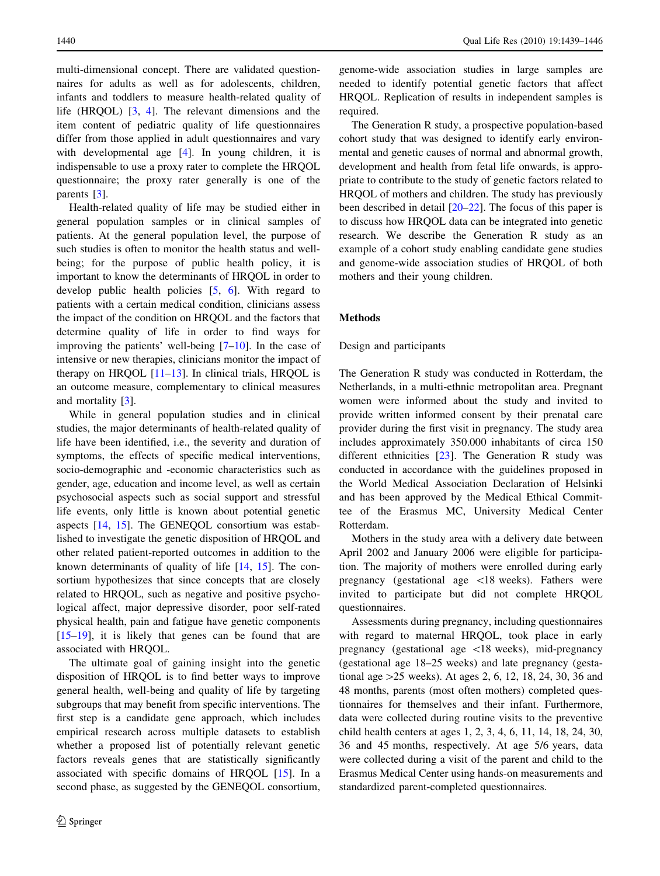multi-dimensional concept. There are validated questionnaires for adults as well as for adolescents, children, infants and toddlers to measure health-related quality of life (HRQOL) [\[3](#page-6-0), [4\]](#page-6-0). The relevant dimensions and the item content of pediatric quality of life questionnaires differ from those applied in adult questionnaires and vary with developmental age [[4\]](#page-6-0). In young children, it is indispensable to use a proxy rater to complete the HRQOL questionnaire; the proxy rater generally is one of the parents [\[3](#page-6-0)].

Health-related quality of life may be studied either in general population samples or in clinical samples of patients. At the general population level, the purpose of such studies is often to monitor the health status and wellbeing; for the purpose of public health policy, it is important to know the determinants of HRQOL in order to develop public health policies [\[5](#page-6-0), [6\]](#page-6-0). With regard to patients with a certain medical condition, clinicians assess the impact of the condition on HRQOL and the factors that determine quality of life in order to find ways for improving the patients' well-being  $[7-10]$ . In the case of intensive or new therapies, clinicians monitor the impact of therapy on HRQOL  $[11–13]$  $[11–13]$ . In clinical trials, HRQOL is an outcome measure, complementary to clinical measures and mortality [\[3](#page-6-0)].

While in general population studies and in clinical studies, the major determinants of health-related quality of life have been identified, i.e., the severity and duration of symptoms, the effects of specific medical interventions, socio-demographic and -economic characteristics such as gender, age, education and income level, as well as certain psychosocial aspects such as social support and stressful life events, only little is known about potential genetic aspects [[14,](#page-6-0) [15](#page-6-0)]. The GENEQOL consortium was established to investigate the genetic disposition of HRQOL and other related patient-reported outcomes in addition to the known determinants of quality of life [\[14](#page-6-0), [15\]](#page-6-0). The consortium hypothesizes that since concepts that are closely related to HRQOL, such as negative and positive psychological affect, major depressive disorder, poor self-rated physical health, pain and fatigue have genetic components [\[15–19](#page-6-0)], it is likely that genes can be found that are associated with HRQOL.

The ultimate goal of gaining insight into the genetic disposition of HRQOL is to find better ways to improve general health, well-being and quality of life by targeting subgroups that may benefit from specific interventions. The first step is a candidate gene approach, which includes empirical research across multiple datasets to establish whether a proposed list of potentially relevant genetic factors reveals genes that are statistically significantly associated with specific domains of HRQOL [[15\]](#page-6-0). In a second phase, as suggested by the GENEQOL consortium,

genome-wide association studies in large samples are needed to identify potential genetic factors that affect HRQOL. Replication of results in independent samples is required.

The Generation R study, a prospective population-based cohort study that was designed to identify early environmental and genetic causes of normal and abnormal growth, development and health from fetal life onwards, is appropriate to contribute to the study of genetic factors related to HRQOL of mothers and children. The study has previously been described in detail [[20–22\]](#page-6-0). The focus of this paper is to discuss how HRQOL data can be integrated into genetic research. We describe the Generation R study as an example of a cohort study enabling candidate gene studies and genome-wide association studies of HRQOL of both mothers and their young children.

#### Methods

#### Design and participants

The Generation R study was conducted in Rotterdam, the Netherlands, in a multi-ethnic metropolitan area. Pregnant women were informed about the study and invited to provide written informed consent by their prenatal care provider during the first visit in pregnancy. The study area includes approximately 350.000 inhabitants of circa 150 different ethnicities [[23](#page-6-0)]. The Generation R study was conducted in accordance with the guidelines proposed in the World Medical Association Declaration of Helsinki and has been approved by the Medical Ethical Committee of the Erasmus MC, University Medical Center Rotterdam.

Mothers in the study area with a delivery date between April 2002 and January 2006 were eligible for participation. The majority of mothers were enrolled during early pregnancy (gestational age \18 weeks). Fathers were invited to participate but did not complete HRQOL questionnaires.

Assessments during pregnancy, including questionnaires with regard to maternal HRQOL, took place in early pregnancy (gestational age \18 weeks), mid-pregnancy (gestational age 18–25 weeks) and late pregnancy (gestational age  $>25$  weeks). At ages 2, 6, 12, 18, 24, 30, 36 and 48 months, parents (most often mothers) completed questionnaires for themselves and their infant. Furthermore, data were collected during routine visits to the preventive child health centers at ages 1, 2, 3, 4, 6, 11, 14, 18, 24, 30, 36 and 45 months, respectively. At age 5/6 years, data were collected during a visit of the parent and child to the Erasmus Medical Center using hands-on measurements and standardized parent-completed questionnaires.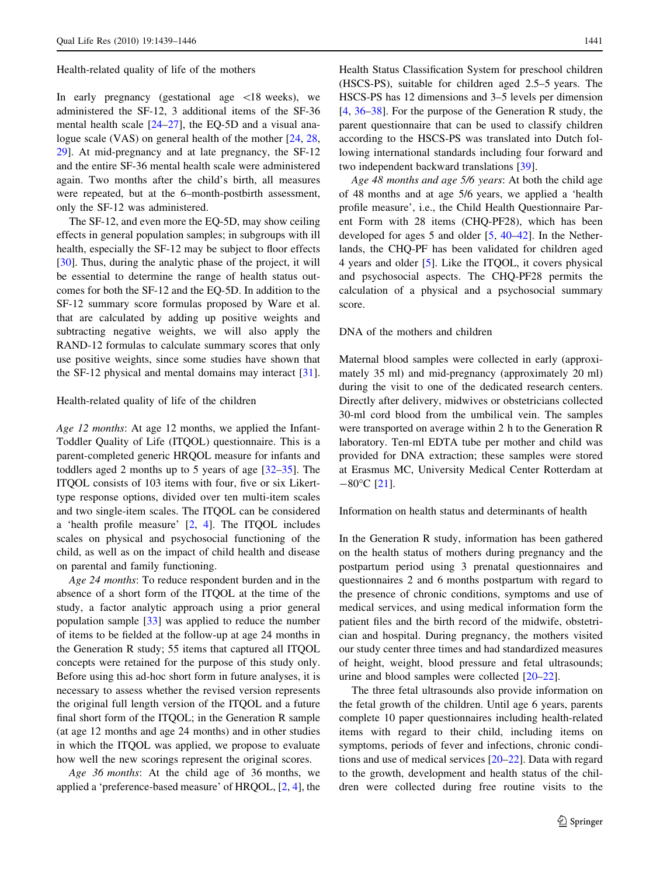Health-related quality of life of the mothers

In early pregnancy (gestational age  $\lt$ 18 weeks), we administered the SF-12, 3 additional items of the SF-36 mental health scale  $[24-27]$  $[24-27]$ , the EQ-5D and a visual analogue scale (VAS) on general health of the mother [\[24](#page-6-0), [28,](#page-7-0) [29\]](#page-7-0). At mid-pregnancy and at late pregnancy, the SF-12 and the entire SF-36 mental health scale were administered again. Two months after the child's birth, all measures were repeated, but at the 6–month-postbirth assessment, only the SF-12 was administered.

The SF-12, and even more the EQ-5D, may show ceiling effects in general population samples; in subgroups with ill health, especially the SF-12 may be subject to floor effects [\[30](#page-7-0)]. Thus, during the analytic phase of the project, it will be essential to determine the range of health status outcomes for both the SF-12 and the EQ-5D. In addition to the SF-12 summary score formulas proposed by Ware et al. that are calculated by adding up positive weights and subtracting negative weights, we will also apply the RAND-12 formulas to calculate summary scores that only use positive weights, since some studies have shown that the SF-12 physical and mental domains may interact [\[31](#page-7-0)].

# Health-related quality of life of the children

Age 12 months: At age 12 months, we applied the Infant-Toddler Quality of Life (ITQOL) questionnaire. This is a parent-completed generic HRQOL measure for infants and toddlers aged 2 months up to 5 years of age [\[32–35](#page-7-0)]. The ITQOL consists of 103 items with four, five or six Likerttype response options, divided over ten multi-item scales and two single-item scales. The ITQOL can be considered a 'health profile measure' [[2,](#page-6-0) [4\]](#page-6-0). The ITQOL includes scales on physical and psychosocial functioning of the child, as well as on the impact of child health and disease on parental and family functioning.

Age 24 *months*: To reduce respondent burden and in the absence of a short form of the ITQOL at the time of the study, a factor analytic approach using a prior general population sample [[33\]](#page-7-0) was applied to reduce the number of items to be fielded at the follow-up at age 24 months in the Generation R study; 55 items that captured all ITQOL concepts were retained for the purpose of this study only. Before using this ad-hoc short form in future analyses, it is necessary to assess whether the revised version represents the original full length version of the ITQOL and a future final short form of the ITQOL; in the Generation R sample (at age 12 months and age 24 months) and in other studies in which the ITQOL was applied, we propose to evaluate how well the new scorings represent the original scores.

Age 36 months: At the child age of 36 months, we applied a 'preference-based measure' of HRQOL, [\[2](#page-6-0), [4\]](#page-6-0), the Health Status Classification System for preschool children (HSCS-PS), suitable for children aged 2.5–5 years. The HSCS-PS has 12 dimensions and 3–5 levels per dimension [\[4](#page-6-0), [36](#page-7-0)–[38\]](#page-7-0). For the purpose of the Generation R study, the parent questionnaire that can be used to classify children according to the HSCS-PS was translated into Dutch following international standards including four forward and two independent backward translations [[39\]](#page-7-0).

Age 48 months and age 5/6 years: At both the child age of 48 months and at age 5/6 years, we applied a 'health profile measure', i.e., the Child Health Questionnaire Parent Form with 28 items (CHQ-PF28), which has been developed for ages 5 and older [[5,](#page-6-0) [40–42\]](#page-7-0). In the Netherlands, the CHQ-PF has been validated for children aged 4 years and older [\[5](#page-6-0)]. Like the ITQOL, it covers physical and psychosocial aspects. The CHQ-PF28 permits the calculation of a physical and a psychosocial summary score.

## DNA of the mothers and children

Maternal blood samples were collected in early (approximately 35 ml) and mid-pregnancy (approximately 20 ml) during the visit to one of the dedicated research centers. Directly after delivery, midwives or obstetricians collected 30-ml cord blood from the umbilical vein. The samples were transported on average within 2 h to the Generation R laboratory. Ten-ml EDTA tube per mother and child was provided for DNA extraction; these samples were stored at Erasmus MC, University Medical Center Rotterdam at  $-80^{\circ}$ C [\[21](#page-6-0)].

#### Information on health status and determinants of health

In the Generation R study, information has been gathered on the health status of mothers during pregnancy and the postpartum period using 3 prenatal questionnaires and questionnaires 2 and 6 months postpartum with regard to the presence of chronic conditions, symptoms and use of medical services, and using medical information form the patient files and the birth record of the midwife, obstetrician and hospital. During pregnancy, the mothers visited our study center three times and had standardized measures of height, weight, blood pressure and fetal ultrasounds; urine and blood samples were collected [\[20–22](#page-6-0)].

The three fetal ultrasounds also provide information on the fetal growth of the children. Until age 6 years, parents complete 10 paper questionnaires including health-related items with regard to their child, including items on symptoms, periods of fever and infections, chronic conditions and use of medical services [[20–22\]](#page-6-0). Data with regard to the growth, development and health status of the children were collected during free routine visits to the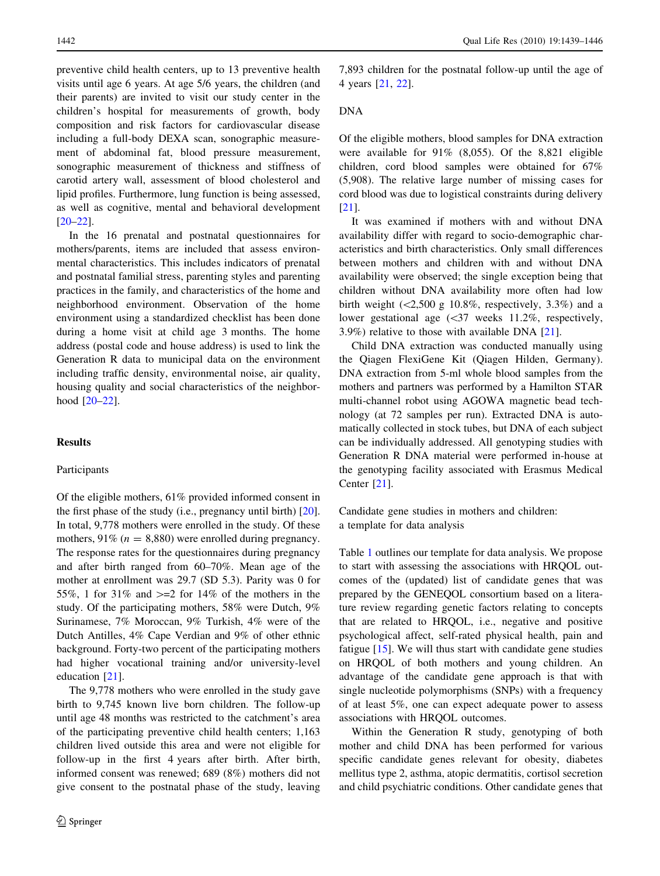preventive child health centers, up to 13 preventive health visits until age 6 years. At age 5/6 years, the children (and their parents) are invited to visit our study center in the children's hospital for measurements of growth, body composition and risk factors for cardiovascular disease including a full-body DEXA scan, sonographic measurement of abdominal fat, blood pressure measurement, sonographic measurement of thickness and stiffness of carotid artery wall, assessment of blood cholesterol and lipid profiles. Furthermore, lung function is being assessed, as well as cognitive, mental and behavioral development [\[20–22](#page-6-0)].

In the 16 prenatal and postnatal questionnaires for mothers/parents, items are included that assess environmental characteristics. This includes indicators of prenatal and postnatal familial stress, parenting styles and parenting practices in the family, and characteristics of the home and neighborhood environment. Observation of the home environment using a standardized checklist has been done during a home visit at child age 3 months. The home address (postal code and house address) is used to link the Generation R data to municipal data on the environment including traffic density, environmental noise, air quality, housing quality and social characteristics of the neighborhood [[20–22\]](#page-6-0).

# **Results**

## Participants

Of the eligible mothers, 61% provided informed consent in the first phase of the study (i.e., pregnancy until birth) [\[20](#page-6-0)]. In total, 9,778 mothers were enrolled in the study. Of these mothers, 91% ( $n = 8,880$ ) were enrolled during pregnancy. The response rates for the questionnaires during pregnancy and after birth ranged from 60–70%. Mean age of the mother at enrollment was 29.7 (SD 5.3). Parity was 0 for 55%, 1 for 31% and  $>=$  2 for 14% of the mothers in the study. Of the participating mothers, 58% were Dutch, 9% Surinamese, 7% Moroccan, 9% Turkish, 4% were of the Dutch Antilles, 4% Cape Verdian and 9% of other ethnic background. Forty-two percent of the participating mothers had higher vocational training and/or university-level education [[21\]](#page-6-0).

The 9,778 mothers who were enrolled in the study gave birth to 9,745 known live born children. The follow-up until age 48 months was restricted to the catchment's area of the participating preventive child health centers; 1,163 children lived outside this area and were not eligible for follow-up in the first 4 years after birth. After birth, informed consent was renewed; 689 (8%) mothers did not give consent to the postnatal phase of the study, leaving

7,893 children for the postnatal follow-up until the age of 4 years [\[21](#page-6-0), [22\]](#page-6-0).

#### DNA

Of the eligible mothers, blood samples for DNA extraction were available for 91% (8,055). Of the 8,821 eligible children, cord blood samples were obtained for 67% (5,908). The relative large number of missing cases for cord blood was due to logistical constraints during delivery [\[21](#page-6-0)].

It was examined if mothers with and without DNA availability differ with regard to socio-demographic characteristics and birth characteristics. Only small differences between mothers and children with and without DNA availability were observed; the single exception being that children without DNA availability more often had low birth weight  $(\leq 2,500 \text{ g } 10.8\%$ , respectively, 3.3%) and a lower gestational age  $(\leq 37$  weeks 11.2%, respectively, 3.9%) relative to those with available DNA [\[21](#page-6-0)].

Child DNA extraction was conducted manually using the Qiagen FlexiGene Kit (Qiagen Hilden, Germany). DNA extraction from 5-ml whole blood samples from the mothers and partners was performed by a Hamilton STAR multi-channel robot using AGOWA magnetic bead technology (at 72 samples per run). Extracted DNA is automatically collected in stock tubes, but DNA of each subject can be individually addressed. All genotyping studies with Generation R DNA material were performed in-house at the genotyping facility associated with Erasmus Medical Center [[21\]](#page-6-0).

Candidate gene studies in mothers and children: a template for data analysis

Table [1](#page-4-0) outlines our template for data analysis. We propose to start with assessing the associations with HRQOL outcomes of the (updated) list of candidate genes that was prepared by the GENEQOL consortium based on a literature review regarding genetic factors relating to concepts that are related to HRQOL, i.e., negative and positive psychological affect, self-rated physical health, pain and fatigue [\[15](#page-6-0)]. We will thus start with candidate gene studies on HRQOL of both mothers and young children. An advantage of the candidate gene approach is that with single nucleotide polymorphisms (SNPs) with a frequency of at least 5%, one can expect adequate power to assess associations with HRQOL outcomes.

Within the Generation R study, genotyping of both mother and child DNA has been performed for various specific candidate genes relevant for obesity, diabetes mellitus type 2, asthma, atopic dermatitis, cortisol secretion and child psychiatric conditions. Other candidate genes that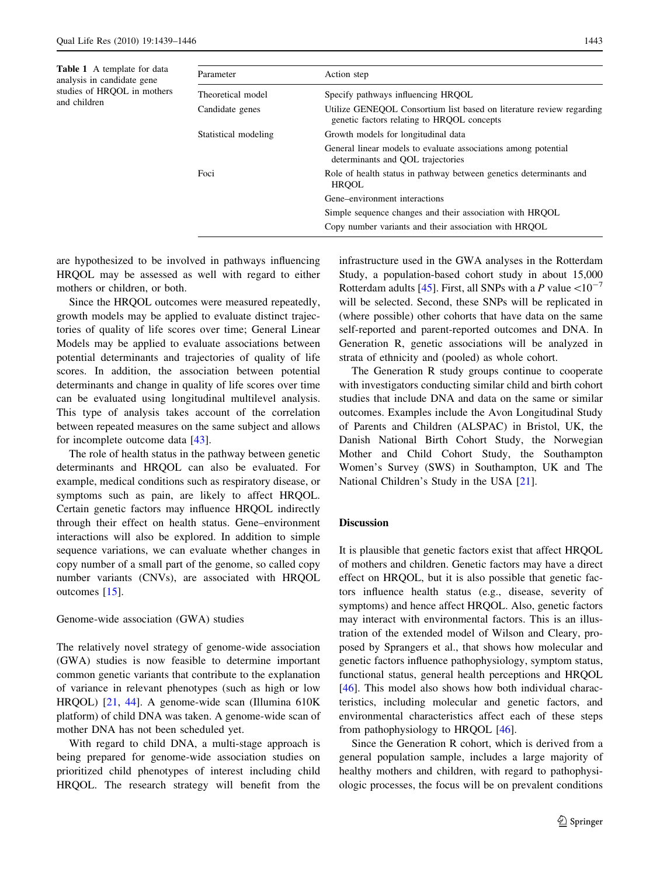<span id="page-4-0"></span>

| <b>Table 1</b> A template for data |
|------------------------------------|
| analysis in candidate gene         |
| studies of HROOL in mothers        |
| and children                       |

| Parameter            | Action step                                                                                                        |
|----------------------|--------------------------------------------------------------------------------------------------------------------|
| Theoretical model    | Specify pathways influencing HRQOL                                                                                 |
| Candidate genes      | Utilize GENEQOL Consortium list based on literature review regarding<br>genetic factors relating to HRQOL concepts |
| Statistical modeling | Growth models for longitudinal data                                                                                |
|                      | General linear models to evaluate associations among potential<br>determinants and QOL trajectories                |
| Foci                 | Role of health status in pathway between genetics determinants and<br><b>HROOL</b>                                 |
|                      | Gene-environment interactions                                                                                      |
|                      | Simple sequence changes and their association with HROOL                                                           |
|                      | Copy number variants and their association with HROOL                                                              |

are hypothesized to be involved in pathways influencing HRQOL may be assessed as well with regard to either mothers or children, or both.

Since the HRQOL outcomes were measured repeatedly, growth models may be applied to evaluate distinct trajectories of quality of life scores over time; General Linear Models may be applied to evaluate associations between potential determinants and trajectories of quality of life scores. In addition, the association between potential determinants and change in quality of life scores over time can be evaluated using longitudinal multilevel analysis. This type of analysis takes account of the correlation between repeated measures on the same subject and allows for incomplete outcome data [\[43](#page-7-0)].

The role of health status in the pathway between genetic determinants and HRQOL can also be evaluated. For example, medical conditions such as respiratory disease, or symptoms such as pain, are likely to affect HRQOL. Certain genetic factors may influence HRQOL indirectly through their effect on health status. Gene–environment interactions will also be explored. In addition to simple sequence variations, we can evaluate whether changes in copy number of a small part of the genome, so called copy number variants (CNVs), are associated with HRQOL outcomes [\[15](#page-6-0)].

## Genome-wide association (GWA) studies

The relatively novel strategy of genome-wide association (GWA) studies is now feasible to determine important common genetic variants that contribute to the explanation of variance in relevant phenotypes (such as high or low HRQOL) [\[21](#page-6-0), [44](#page-7-0)]. A genome-wide scan (Illumina 610K platform) of child DNA was taken. A genome-wide scan of mother DNA has not been scheduled yet.

With regard to child DNA, a multi-stage approach is being prepared for genome-wide association studies on prioritized child phenotypes of interest including child HRQOL. The research strategy will benefit from the

infrastructure used in the GWA analyses in the Rotterdam Study, a population-based cohort study in about 15,000 Rotterdam adults [\[45](#page-7-0)]. First, all SNPs with a P value  $\langle10^{-7}$ will be selected. Second, these SNPs will be replicated in (where possible) other cohorts that have data on the same self-reported and parent-reported outcomes and DNA. In Generation R, genetic associations will be analyzed in strata of ethnicity and (pooled) as whole cohort.

The Generation R study groups continue to cooperate with investigators conducting similar child and birth cohort studies that include DNA and data on the same or similar outcomes. Examples include the Avon Longitudinal Study of Parents and Children (ALSPAC) in Bristol, UK, the Danish National Birth Cohort Study, the Norwegian Mother and Child Cohort Study, the Southampton Women's Survey (SWS) in Southampton, UK and The National Children's Study in the USA [\[21](#page-6-0)].

# Discussion

It is plausible that genetic factors exist that affect HRQOL of mothers and children. Genetic factors may have a direct effect on HRQOL, but it is also possible that genetic factors influence health status (e.g., disease, severity of symptoms) and hence affect HRQOL. Also, genetic factors may interact with environmental factors. This is an illustration of the extended model of Wilson and Cleary, proposed by Sprangers et al., that shows how molecular and genetic factors influence pathophysiology, symptom status, functional status, general health perceptions and HRQOL [\[46](#page-7-0)]. This model also shows how both individual characteristics, including molecular and genetic factors, and environmental characteristics affect each of these steps from pathophysiology to HRQOL [[46\]](#page-7-0).

Since the Generation R cohort, which is derived from a general population sample, includes a large majority of healthy mothers and children, with regard to pathophysiologic processes, the focus will be on prevalent conditions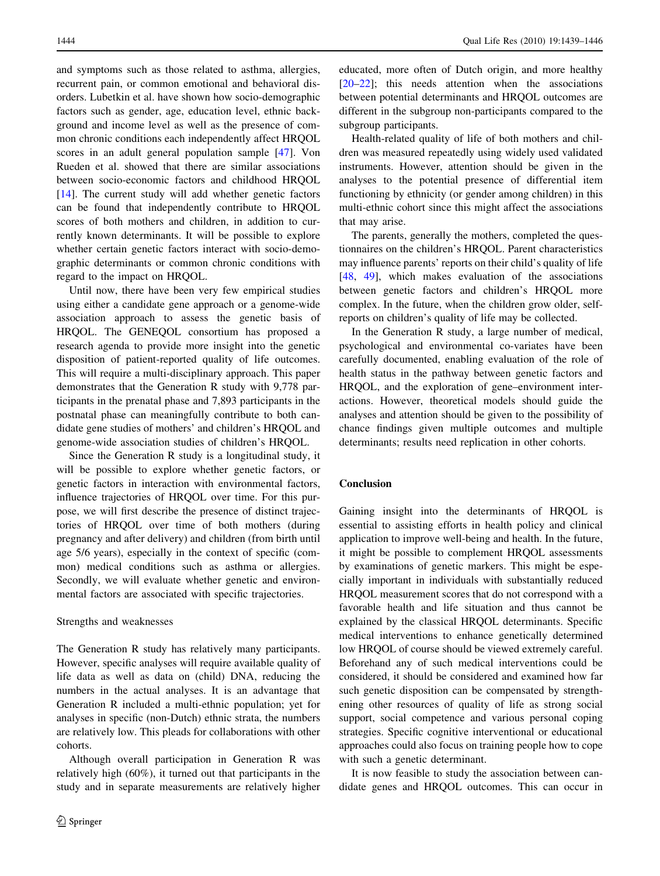and symptoms such as those related to asthma, allergies, recurrent pain, or common emotional and behavioral disorders. Lubetkin et al. have shown how socio-demographic factors such as gender, age, education level, ethnic background and income level as well as the presence of common chronic conditions each independently affect HRQOL scores in an adult general population sample [\[47](#page-7-0)]. Von Rueden et al. showed that there are similar associations between socio-economic factors and childhood HRQOL [\[14](#page-6-0)]. The current study will add whether genetic factors can be found that independently contribute to HRQOL scores of both mothers and children, in addition to currently known determinants. It will be possible to explore whether certain genetic factors interact with socio-demographic determinants or common chronic conditions with regard to the impact on HRQOL.

Until now, there have been very few empirical studies using either a candidate gene approach or a genome-wide association approach to assess the genetic basis of HRQOL. The GENEQOL consortium has proposed a research agenda to provide more insight into the genetic disposition of patient-reported quality of life outcomes. This will require a multi-disciplinary approach. This paper demonstrates that the Generation R study with 9,778 participants in the prenatal phase and 7,893 participants in the postnatal phase can meaningfully contribute to both candidate gene studies of mothers' and children's HRQOL and genome-wide association studies of children's HRQOL.

Since the Generation R study is a longitudinal study, it will be possible to explore whether genetic factors, or genetic factors in interaction with environmental factors, influence trajectories of HRQOL over time. For this purpose, we will first describe the presence of distinct trajectories of HRQOL over time of both mothers (during pregnancy and after delivery) and children (from birth until age 5/6 years), especially in the context of specific (common) medical conditions such as asthma or allergies. Secondly, we will evaluate whether genetic and environmental factors are associated with specific trajectories.

# Strengths and weaknesses

The Generation R study has relatively many participants. However, specific analyses will require available quality of life data as well as data on (child) DNA, reducing the numbers in the actual analyses. It is an advantage that Generation R included a multi-ethnic population; yet for analyses in specific (non-Dutch) ethnic strata, the numbers are relatively low. This pleads for collaborations with other cohorts.

Although overall participation in Generation R was relatively high (60%), it turned out that participants in the study and in separate measurements are relatively higher educated, more often of Dutch origin, and more healthy [\[20–22](#page-6-0)]; this needs attention when the associations between potential determinants and HRQOL outcomes are different in the subgroup non-participants compared to the subgroup participants.

Health-related quality of life of both mothers and children was measured repeatedly using widely used validated instruments. However, attention should be given in the analyses to the potential presence of differential item functioning by ethnicity (or gender among children) in this multi-ethnic cohort since this might affect the associations that may arise.

The parents, generally the mothers, completed the questionnaires on the children's HRQOL. Parent characteristics may influence parents' reports on their child's quality of life [\[48](#page-7-0), [49](#page-7-0)], which makes evaluation of the associations between genetic factors and children's HRQOL more complex. In the future, when the children grow older, selfreports on children's quality of life may be collected.

In the Generation R study, a large number of medical, psychological and environmental co-variates have been carefully documented, enabling evaluation of the role of health status in the pathway between genetic factors and HRQOL, and the exploration of gene–environment interactions. However, theoretical models should guide the analyses and attention should be given to the possibility of chance findings given multiple outcomes and multiple determinants; results need replication in other cohorts.

# Conclusion

Gaining insight into the determinants of HRQOL is essential to assisting efforts in health policy and clinical application to improve well-being and health. In the future, it might be possible to complement HRQOL assessments by examinations of genetic markers. This might be especially important in individuals with substantially reduced HRQOL measurement scores that do not correspond with a favorable health and life situation and thus cannot be explained by the classical HRQOL determinants. Specific medical interventions to enhance genetically determined low HRQOL of course should be viewed extremely careful. Beforehand any of such medical interventions could be considered, it should be considered and examined how far such genetic disposition can be compensated by strengthening other resources of quality of life as strong social support, social competence and various personal coping strategies. Specific cognitive interventional or educational approaches could also focus on training people how to cope with such a genetic determinant.

It is now feasible to study the association between candidate genes and HRQOL outcomes. This can occur in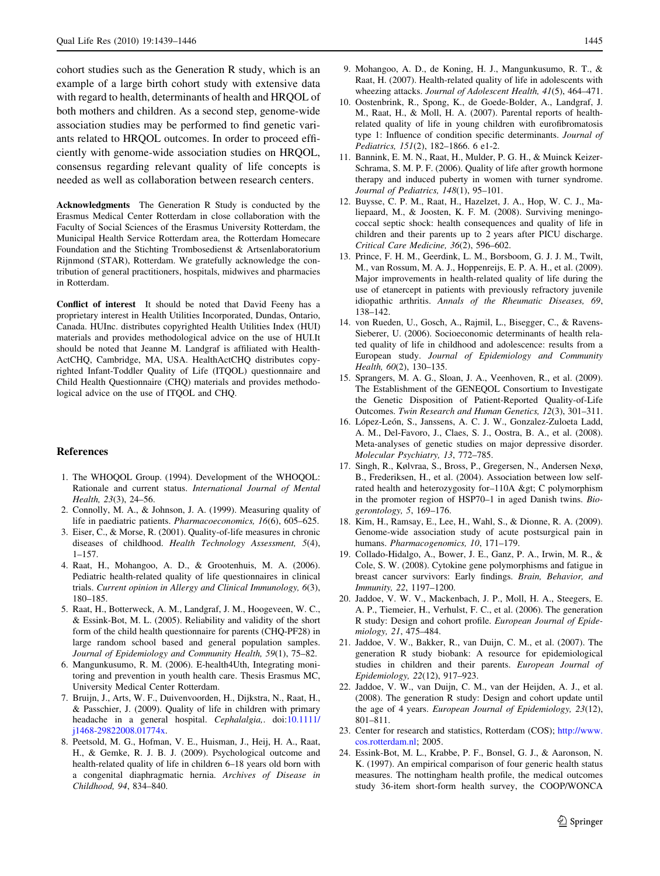<span id="page-6-0"></span>cohort studies such as the Generation R study, which is an example of a large birth cohort study with extensive data with regard to health, determinants of health and HRQOL of both mothers and children. As a second step, genome-wide association studies may be performed to find genetic variants related to HRQOL outcomes. In order to proceed efficiently with genome-wide association studies on HRQOL, consensus regarding relevant quality of life concepts is needed as well as collaboration between research centers.

Acknowledgments The Generation R Study is conducted by the Erasmus Medical Center Rotterdam in close collaboration with the Faculty of Social Sciences of the Erasmus University Rotterdam, the Municipal Health Service Rotterdam area, the Rotterdam Homecare Foundation and the Stichting Trombosedienst & Artsenlaboratorium Rijnmond (STAR), Rotterdam. We gratefully acknowledge the contribution of general practitioners, hospitals, midwives and pharmacies in Rotterdam.

Conflict of interest It should be noted that David Feeny has a proprietary interest in Health Utilities Incorporated, Dundas, Ontario, Canada. HUInc. distributes copyrighted Health Utilities Index (HUI) materials and provides methodological advice on the use of HUI.It should be noted that Jeanne M. Landgraf is affiliated with Health-ActCHQ, Cambridge, MA, USA. HealthActCHQ distributes copyrighted Infant-Toddler Quality of Life (ITQOL) questionnaire and Child Health Questionnaire (CHQ) materials and provides methodological advice on the use of ITQOL and CHQ.

#### References

- 1. The WHOQOL Group. (1994). Development of the WHOQOL: Rationale and current status. International Journal of Mental Health, 23(3), 24–56.
- 2. Connolly, M. A., & Johnson, J. A. (1999). Measuring quality of life in paediatric patients. Pharmacoeconomics, 16(6), 605–625.
- 3. Eiser, C., & Morse, R. (2001). Quality-of-life measures in chronic diseases of childhood. Health Technology Assessment, 5(4), 1–157.
- 4. Raat, H., Mohangoo, A. D., & Grootenhuis, M. A. (2006). Pediatric health-related quality of life questionnaires in clinical trials. Current opinion in Allergy and Clinical Immunology, 6(3), 180–185.
- 5. Raat, H., Botterweck, A. M., Landgraf, J. M., Hoogeveen, W. C., & Essink-Bot, M. L. (2005). Reliability and validity of the short form of the child health questionnaire for parents (CHQ-PF28) in large random school based and general population samples. Journal of Epidemiology and Community Health, 59(1), 75–82.
- 6. Mangunkusumo, R. M. (2006). E-health4Uth, Integrating monitoring and prevention in youth health care. Thesis Erasmus MC, University Medical Center Rotterdam.
- 7. Bruijn, J., Arts, W. F., Duivenvoorden, H., Dijkstra, N., Raat, H., & Passchier, J. (2009). Quality of life in children with primary headache in a general hospital. Cephalalgia,. doi[:10.1111/](http://dx.doi.org/10.1111/j1468-29822008.01774x) [j1468-29822008.01774x](http://dx.doi.org/10.1111/j1468-29822008.01774x).
- 8. Peetsold, M. G., Hofman, V. E., Huisman, J., Heij, H. A., Raat, H., & Gemke, R. J. B. J. (2009). Psychological outcome and health-related quality of life in children 6–18 years old born with a congenital diaphragmatic hernia. Archives of Disease in Childhood, 94, 834–840.
- 9. Mohangoo, A. D., de Koning, H. J., Mangunkusumo, R. T., & Raat, H. (2007). Health-related quality of life in adolescents with wheezing attacks. Journal of Adolescent Health, 41(5), 464–471.
- 10. Oostenbrink, R., Spong, K., de Goede-Bolder, A., Landgraf, J. M., Raat, H., & Moll, H. A. (2007). Parental reports of healthrelated quality of life in young children with eurofibromatosis type 1: Influence of condition specific determinants. Journal of Pediatrics, 151(2), 182–1866. 6 e1-2.
- 11. Bannink, E. M. N., Raat, H., Mulder, P. G. H., & Muinck Keizer-Schrama, S. M. P. F. (2006). Quality of life after growth hormone therapy and induced puberty in women with turner syndrome. Journal of Pediatrics, 148(1), 95–101.
- 12. Buysse, C. P. M., Raat, H., Hazelzet, J. A., Hop, W. C. J., Maliepaard, M., & Joosten, K. F. M. (2008). Surviving meningococcal septic shock: health consequences and quality of life in children and their parents up to 2 years after PICU discharge. Critical Care Medicine, 36(2), 596–602.
- 13. Prince, F. H. M., Geerdink, L. M., Borsboom, G. J. J. M., Twilt, M., van Rossum, M. A. J., Hoppenreijs, E. P. A. H., et al. (2009). Major improvements in health-related quality of life during the use of etanercept in patients with previously refractory juvenile idiopathic arthritis. Annals of the Rheumatic Diseases, 69, 138–142.
- 14. von Rueden, U., Gosch, A., Rajmil, L., Bisegger, C., & Ravens-Sieberer, U. (2006). Socioeconomic determinants of health related quality of life in childhood and adolescence: results from a European study. Journal of Epidemiology and Community Health, 60(2), 130–135.
- 15. Sprangers, M. A. G., Sloan, J. A., Veenhoven, R., et al. (2009). The Establishment of the GENEQOL Consortium to Investigate the Genetic Disposition of Patient-Reported Quality-of-Life Outcomes. Twin Research and Human Genetics, 12(3), 301–311.
- 16. López-León, S., Janssens, A. C. J. W., Gonzalez-Zuloeta Ladd, A. M., Del-Favoro, J., Claes, S. J., Oostra, B. A., et al. (2008). Meta-analyses of genetic studies on major depressive disorder. Molecular Psychiatry, 13, 772–785.
- 17. Singh, R., Kølvraa, S., Bross, P., Gregersen, N., Andersen Nexø, B., Frederiksen, H., et al. (2004). Association between low selfrated health and heterozygosity for-110A > C polymorphism in the promoter region of HSP70–1 in aged Danish twins. Biogerontology, 5, 169–176.
- 18. Kim, H., Ramsay, E., Lee, H., Wahl, S., & Dionne, R. A. (2009). Genome-wide association study of acute postsurgical pain in humans. Pharmacogenomics, 10, 171–179.
- 19. Collado-Hidalgo, A., Bower, J. E., Ganz, P. A., Irwin, M. R., & Cole, S. W. (2008). Cytokine gene polymorphisms and fatigue in breast cancer survivors: Early findings. Brain, Behavior, and Immunity, 22, 1197–1200.
- 20. Jaddoe, V. W. V., Mackenbach, J. P., Moll, H. A., Steegers, E. A. P., Tiemeier, H., Verhulst, F. C., et al. (2006). The generation R study: Design and cohort profile. European Journal of Epidemiology, 21, 475–484.
- 21. Jaddoe, V. W., Bakker, R., van Duijn, C. M., et al. (2007). The generation R study biobank: A resource for epidemiological studies in children and their parents. European Journal of Epidemiology, 22(12), 917–923.
- 22. Jaddoe, V. W., van Duijn, C. M., van der Heijden, A. J., et al. (2008). The generation R study: Design and cohort update until the age of 4 years. European Journal of Epidemiology, 23(12), 801–811.
- 23. Center for research and statistics, Rotterdam (COS); [http://www.](http://www.cos.rotterdam.nl) [cos.rotterdam.nl;](http://www.cos.rotterdam.nl) 2005.
- 24. Essink-Bot, M. L., Krabbe, P. F., Bonsel, G. J., & Aaronson, N. K. (1997). An empirical comparison of four generic health status measures. The nottingham health profile, the medical outcomes study 36-item short-form health survey, the COOP/WONCA